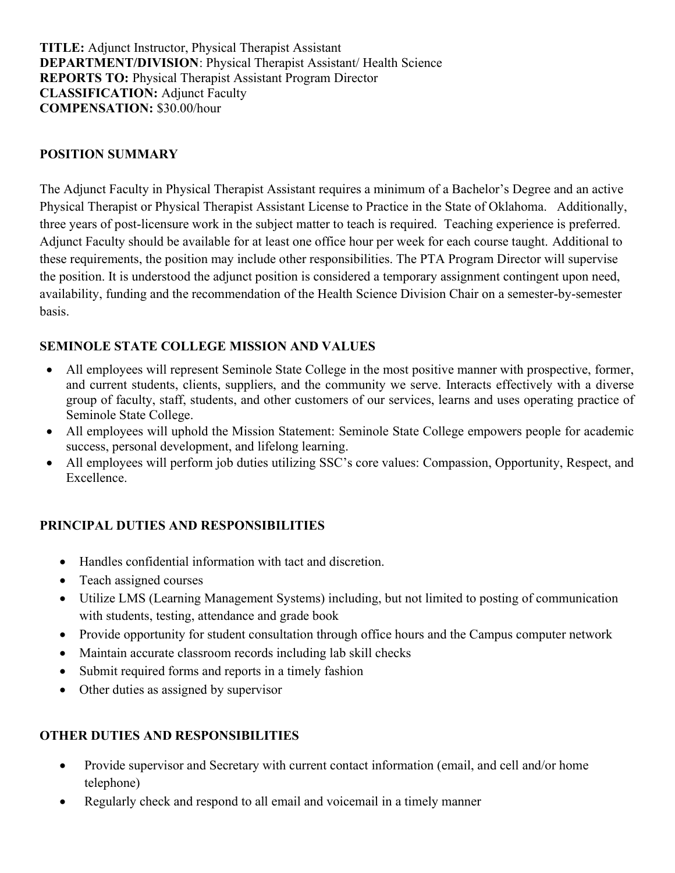TITLE: Adjunct Instructor, Physical Therapist Assistant DEPARTMENT/DIVISION: Physical Therapist Assistant/ Health Science REPORTS TO: Physical Therapist Assistant Program Director CLASSIFICATION: Adjunct Faculty COMPENSATION: \$30.00/hour

### POSITION SUMMARY

The Adjunct Faculty in Physical Therapist Assistant requires a minimum of a Bachelor's Degree and an active Physical Therapist or Physical Therapist Assistant License to Practice in the State of Oklahoma. Additionally, three years of post-licensure work in the subject matter to teach is required. Teaching experience is preferred. Adjunct Faculty should be available for at least one office hour per week for each course taught. Additional to these requirements, the position may include other responsibilities. The PTA Program Director will supervise the position. It is understood the adjunct position is considered a temporary assignment contingent upon need, availability, funding and the recommendation of the Health Science Division Chair on a semester-by-semester basis.

## SEMINOLE STATE COLLEGE MISSION AND VALUES

- All employees will represent Seminole State College in the most positive manner with prospective, former, and current students, clients, suppliers, and the community we serve. Interacts effectively with a diverse group of faculty, staff, students, and other customers of our services, learns and uses operating practice of Seminole State College.
- All employees will uphold the Mission Statement: Seminole State College empowers people for academic success, personal development, and lifelong learning.
- All employees will perform job duties utilizing SSC's core values: Compassion, Opportunity, Respect, and Excellence.

## PRINCIPAL DUTIES AND RESPONSIBILITIES

- Handles confidential information with tact and discretion.
- Teach assigned courses
- Utilize LMS (Learning Management Systems) including, but not limited to posting of communication with students, testing, attendance and grade book
- Provide opportunity for student consultation through office hours and the Campus computer network
- Maintain accurate classroom records including lab skill checks
- Submit required forms and reports in a timely fashion
- Other duties as assigned by supervisor

## OTHER DUTIES AND RESPONSIBILITIES

- Provide supervisor and Secretary with current contact information (email, and cell and/or home telephone)
- Regularly check and respond to all email and voicemail in a timely manner